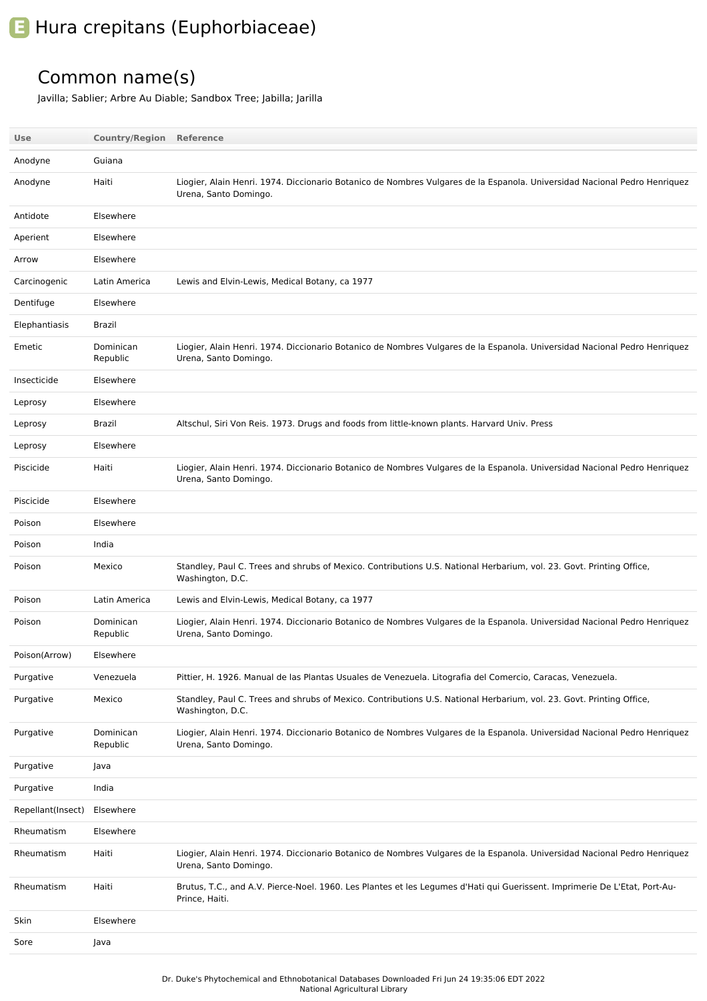## **E** Hura crepitans (Euphorbiaceae)

## Common name(s)

Javilla; Sablier; Arbre Au Diable; Sandbox Tree; Jabilla; Jarilla

| Use               | <b>Country/Region Reference</b> |                                                                                                                                                    |
|-------------------|---------------------------------|----------------------------------------------------------------------------------------------------------------------------------------------------|
| Anodyne           | Guiana                          |                                                                                                                                                    |
| Anodyne           | Haiti                           | Liogier, Alain Henri. 1974. Diccionario Botanico de Nombres Vulgares de la Espanola. Universidad Nacional Pedro Henriquez<br>Urena, Santo Domingo. |
| Antidote          | Elsewhere                       |                                                                                                                                                    |
| Aperient          | Elsewhere                       |                                                                                                                                                    |
| Arrow             | Elsewhere                       |                                                                                                                                                    |
| Carcinogenic      | Latin America                   | Lewis and Elvin-Lewis, Medical Botany, ca 1977                                                                                                     |
| Dentifuge         | Elsewhere                       |                                                                                                                                                    |
| Elephantiasis     | Brazil                          |                                                                                                                                                    |
| Emetic            | Dominican<br>Republic           | Liogier, Alain Henri. 1974. Diccionario Botanico de Nombres Vulgares de la Espanola. Universidad Nacional Pedro Henriquez<br>Urena, Santo Domingo. |
| Insecticide       | Elsewhere                       |                                                                                                                                                    |
| Leprosy           | Elsewhere                       |                                                                                                                                                    |
| Leprosy           | Brazil                          | Altschul, Siri Von Reis. 1973. Drugs and foods from little-known plants. Harvard Univ. Press                                                       |
| Leprosy           | Elsewhere                       |                                                                                                                                                    |
| Piscicide         | Haiti                           | Liogier, Alain Henri. 1974. Diccionario Botanico de Nombres Vulgares de la Espanola. Universidad Nacional Pedro Henriquez<br>Urena, Santo Domingo. |
| Piscicide         | Elsewhere                       |                                                                                                                                                    |
| Poison            | Elsewhere                       |                                                                                                                                                    |
| Poison            | India                           |                                                                                                                                                    |
| Poison            | Mexico                          | Standley, Paul C. Trees and shrubs of Mexico. Contributions U.S. National Herbarium, vol. 23. Govt. Printing Office,<br>Washington, D.C.           |
| Poison            | Latin America                   | Lewis and Elvin-Lewis, Medical Botany, ca 1977                                                                                                     |
| Poison            | Dominican<br>Republic           | Liogier, Alain Henri. 1974. Diccionario Botanico de Nombres Vulgares de la Espanola. Universidad Nacional Pedro Henriquez<br>Urena, Santo Domingo. |
| Poison(Arrow)     | Elsewhere                       |                                                                                                                                                    |
| Purgative         | Venezuela                       | Pittier, H. 1926. Manual de las Plantas Usuales de Venezuela. Litografia del Comercio, Caracas, Venezuela.                                         |
| Purgative         | Mexico                          | Standley, Paul C. Trees and shrubs of Mexico. Contributions U.S. National Herbarium, vol. 23. Govt. Printing Office,<br>Washington, D.C.           |
| Purgative         | Dominican<br>Republic           | Liogier, Alain Henri. 1974. Diccionario Botanico de Nombres Vulgares de la Espanola. Universidad Nacional Pedro Henriquez<br>Urena, Santo Domingo. |
| Purgative         | Java                            |                                                                                                                                                    |
| Purgative         | India                           |                                                                                                                                                    |
| Repellant(Insect) | Elsewhere                       |                                                                                                                                                    |
| Rheumatism        | Elsewhere                       |                                                                                                                                                    |
| Rheumatism        | Haiti                           | Liogier, Alain Henri. 1974. Diccionario Botanico de Nombres Vulgares de la Espanola. Universidad Nacional Pedro Henriquez<br>Urena, Santo Domingo. |
| Rheumatism        | Haiti                           | Brutus, T.C., and A.V. Pierce-Noel. 1960. Les Plantes et les Legumes d'Hati qui Guerissent. Imprimerie De L'Etat, Port-Au-<br>Prince, Haiti.       |
| Skin              | Elsewhere                       |                                                                                                                                                    |
| Sore              | Java                            |                                                                                                                                                    |